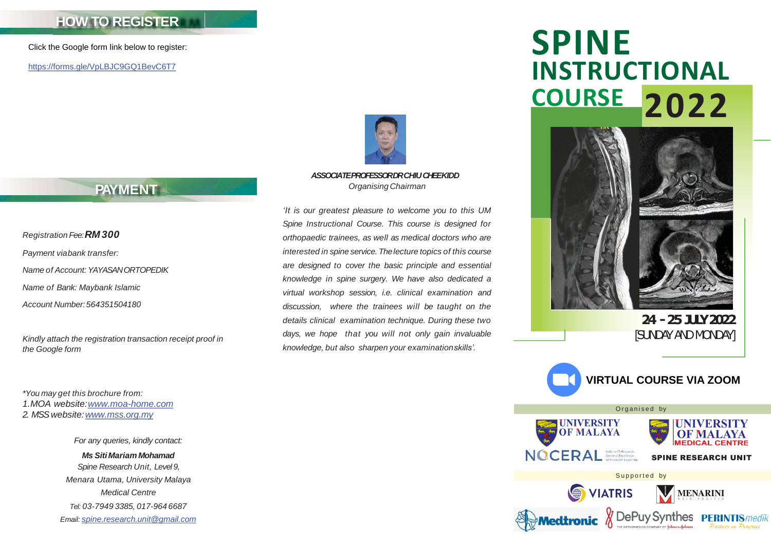### **HOW TO REGISTER**

Click the Google form link below to register:

<https://forms.gle/VpLBJC9GQ1BevC6T7>



*ASSOCIATE PROFESSOR DR CHIU CHEEKIDD Organising Chairman*

*'It is our greatest pleasure to welcome you to this UM Spine Instructional Course. This course is designed for orthopaedic trainees, as well as medical doctors who are interested in spine service. Thelecture topics of this course are designed to cover the basic principle and essential knowledge in spine surgery. We have also dedicated a virtual workshop session, i.e. clinical examination and discussion, where the trainees will be taught on the details clinical examination technique. During these two days, we hope that you will not only gain invaluable knowledge, but also sharpen your examinationskills'.*

# **SPINE INSTRUCTIONAL COURSE 2022**



**24 -25JULY 2022** [SUNDAY ANDMONDAY]



## **PAYMENT**

*Registration Fee:RM 300 Payment viabank transfer: Name of Account: YAYASAN ORTOPEDIK Name of Bank: Maybank Islamic Account Number:564351504180*

*Kindly attach the registration transaction receipt proof in the Google form*

*\*You may get this brochure from: 1.MOA website:[www.moa-home.com](http://www.moa-home.com/) 2. MSS website:[www.mss.org.my](http://www.mss.org.my/)*

> *For any queries, kindly contact: Ms SitiMariam Mohamad Spine Research Unit, Level 9, Menara Utama, University Malaya Medical Centre Tel: 03-7949 3385, 017-964 6687 Email: [spine.research.unit@gmail.com](mailto:spine.research.unit@gmail.com)*